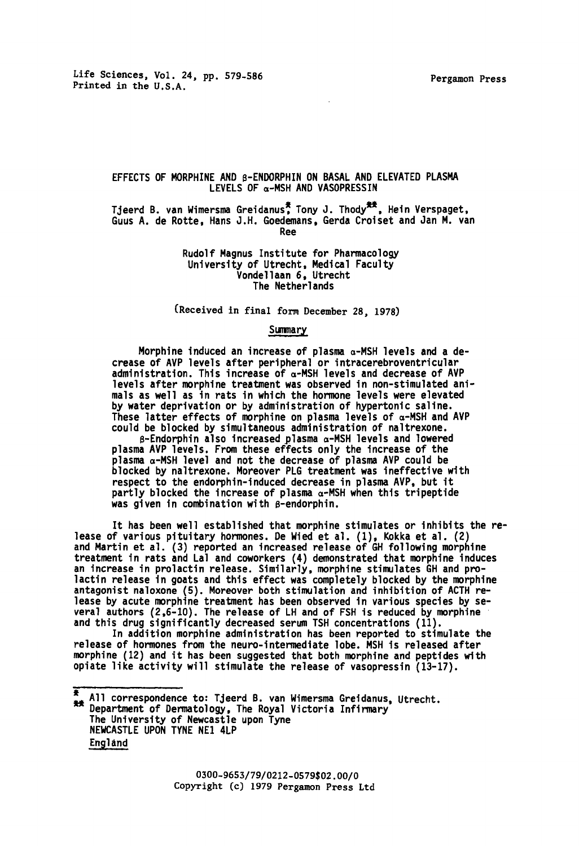## EFFECTS OF MORPHINE AND B-ENDORPHIN ON BASAL AND ELEVATED PLASMA LEVELS OF  $\alpha$ -MSH AND VASOPRESSIN

Tjeerd B. van Wimersma Greidanus<sup>\*</sup>, Tony J. Thody<sup>\*\*</sup>, Hein Verspaget, Guus A. de Rotte, Hans J.H. Goedemans, Gerda Croiset and Jan M. van Ree

> Rudolf Magnus Institute for Pharmacology University of Utrecht, Medical Faculty Vondellaan 6, Utrecht The Netherlands

(Received in final form December 28, 1978)

#### Summary

Morphine induced an increase of plasma a-MSH levels and a decrease of AVP levels after peripheral or intracerebroventricular administration. This increase of  $\alpha$ -MSH levels and decrease of AVP levels after morphine treatment was observed in non-stimulated animals as well as in rats in which the hormone levels were elevated by water deprivation or by administration of hypertonic saline . These latter effects of morphine on plasma levels of  $\alpha$ -MSH and AVP could be blocked by simultaneous administration of naltrexone .

s-Endorphin also increased plasma a-MSH levels and lowered plasma AVP levels . From these effects only the increase of the plasma a-MSH level and not the decrease of plasma AVP could be blocked by naltrexone. Moreover PLG treatment was ineffective with respect to the endorphin-induced decrease in plasma AVP, but it partly blocked the increase of plasma  $\alpha$ -MSH when this tripeptide was given in combination with  $\beta$ -endorphin.

It has been well established that morphine stimulates or inhibits the release of various pituitary hormones. De Wied et al. (1), Kokka et al. (2) and Martin et al . (3) reported an increased release of GH following morphine treatment in rats and Lal and coworkers (4) demonstrated that morphine induces an increase in prolactin release . Similarly, morphine stimulates GH and prolactin release in goats and this effect was completely blocked by the morphine antagonist naloxone (5) . Moreover both stimulation and inhibition of ACTH release by acute morphine treatment has been observed in various species by several authors (2 ,6-10) . The release of LH and of FSH is reduced by morphine and this drug significantly decreased serum TSH concentrations (11) .

In addition morphine administration has been reported to stimulate the release of hormones from the neuro-intermediate lobe . MSH is released after morphine (12) and it has been suggested that both morphine and peptides with opiate like activity will stimulate the release of vasopressin (13-17) .

Ŧ All correspondence to: Tjeerd B. van Wimersma Greidanus, Utrecht.  $\frac{24}{35}$  All correspondence to: ijeerd B. van Wimersma Greidanus<br>
Department of Dermatology, The Royal Victoria Infirmary The University of Newcastle upon Tyne NEWCASTLE UPON TYNE NE1 4LP England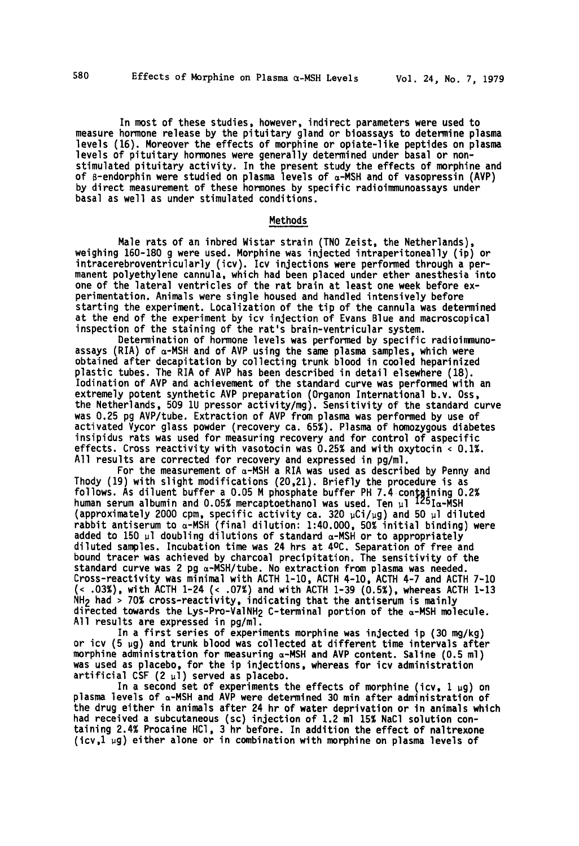In most of these studies, however, indirect parameters were used to measure hormone release by the pituitary gland or bioassays to determine plasma levels (16). Moreover the effects of morphine or opiate-like peptides on plasma levels of pituitary hormones were generally determined under basal or nonstimulated pituitary activity . In the present study the effects of morphine and of 8-endorphin were studied on plasma levels of a-MSH and of vasopressin (AVP) by direct measurement of these hormones by specific radioimmunoassays under basal as well as under stimulated conditions .

#### Methods

Male rats of an inbred Wistar strain (TNO Zeist, the Netherlands), weighing 160-180 g were used. Morphine was injected intraperitoneally (ip) or intracerebroventricularly (icv) . Icv injections were performed through <sup>a</sup> per manent polyethylene cannula, which had been placed under ether anesthesia into one of the lateral ventricles of the rat brain at least one week before experimentation. Animals were single housed and handled intensively before starting the experiment. Localization of the tip of the cannula was determined at the end of the experiment by icv injection of Evans Blue and macroscopical inspection of the staining of the rat's brain-ventricular system.

Determination of hormone levels was performed by specific radioimmunoassays (RIA) of a-MSH and of AVP using the same plasma samples, which were obtained after decapitation by collecting trunk blood in cooled heparinized plastic tubes . The RIA of AVP has been described in detail elsewhere (18) . Iodination of AVP and achievement of the standard curve was performed with an extremely potent synthetic AVP preparation (Organon International b.v. Oss, the Netherlands, 509 lU pressor activity/mg) . Sensitivity of the standard curve was 0.25 pg AVP/tube. Extraction of AVP from plasma was performed by use of activated Vycor glass powder (recovery ca . 65%) . Plasma of homozygous diabetes insipidus rats was used for measuring recovery and for control of aspecific effects . Cross reactivity with vasotocin was 0 .25% and with oxytocin <sup>&</sup>lt; 0 .1% . All results are corrected for recovery and expressed in pg/ml .

For the measurement of  $\alpha$ -MSH a RIA was used as described by Penny and Thody (19) with slight modifications (20,21). Briefly the procedure is as follows. As diluent buffer a 0.05 M phosphate buffer PH 7.4 containing 0.2% human serum albumin and 0.05% mercaptoethanol was used. Ten  $\mu$ l 145 $I$ a-MSH (approximately 2000 cpm, specific activity ca . 320 uCi/ug) and 50 ul diluted rabbit antiserum to a-MSH (final dilution : <sup>1</sup> :40 .000, 50% initial binding) were added to 150 ul doubling dilutions of standard a-MSH or to appropriately diluted samples. Incubation time was 24 hrs at 4ºC. Separation of free and bound tracer was achieved by charcoal precipitation . The sensitivity of the standard curve was 2 pg a-MSH/tube. No extraction from plasma was needed. Cross-reactivity was minimal with ACTH 1-10, ACTH 4-10, ACTH 4-7 and ACTH 7-10 (< .03%), with ACTH 1-24 (< .07%) and with ACTH 1-39 (0.5%), whereas ACTH 1-13 NH2 had <sup>&</sup>gt; 70% cross-reactivity, indicating that the antiserum is mainly directed towards the Lys-Pro-ValNH<sub>2</sub> C-terminal portion of the  $\alpha$ -MSH molecule. All results are expressed in pg/ml.

In a first series of experiments morphine was injected ip (30 mg/kg) or icv  $(5 \mu g)$  and trunk blood was collected at different time intervals after morphine administration for measuring  $\alpha$ -MSH and AVP content. Saline (0.5 ml) was used as placebo, for the ip injections, whereas for icv administration artificial CSF  $(2 \mu l)$  served as placebo.

In a second set of experiments the effects of morphine (icv,  $1 \mu g$ ) on plasma levels of a-MSH and AVP were determined 30 min after administration of the drug either in animals after 24 hr of water deprivation or in animals which had received a subcutaneous (sc) injection of 1.2 ml 15% NaCl solution containing 2.4% Procaine HCl, 3 hr before. In addition the effect of naltrexone (icv, $1 \mu g$ ) either alone or in combination with morphine on plasma levels of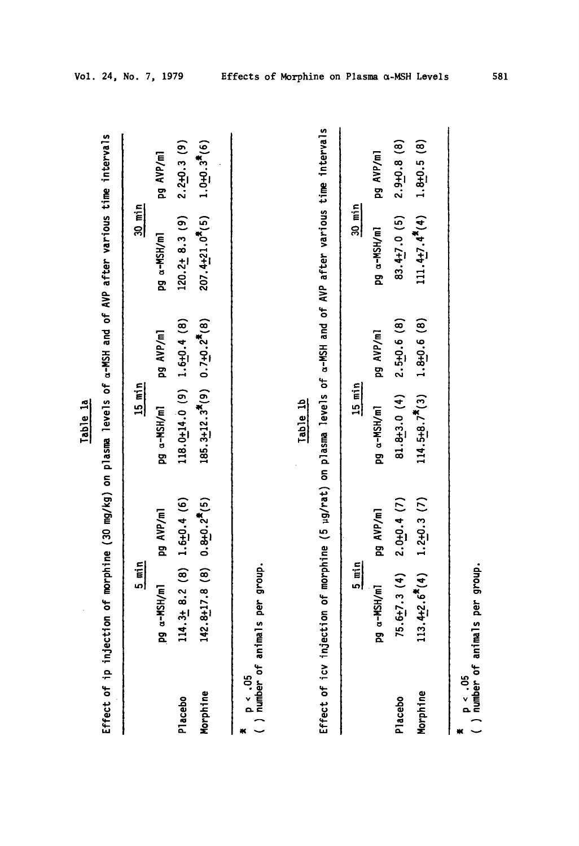| c |  |
|---|--|
| o |  |
|   |  |
|   |  |

|              | Effect of ip injection of morphine (30 mg/kg) on plasma levels of a-MSH and of AVP after various time intervals  |                 | lable la                                                         |                 |                                 |                    |
|--------------|------------------------------------------------------------------------------------------------------------------|-----------------|------------------------------------------------------------------|-----------------|---------------------------------|--------------------|
|              | $rac{5}{2}$ min                                                                                                  |                 | $15$ min                                                         |                 | $\frac{30 \text{ min}}{20}$     |                    |
|              | Pg a-MSH/ml                                                                                                      | pg AVP/ml       | pg a-MSH/ml                                                      | pg AVP/ml       | pg a-MSH/ml                     | pg AVP/ml          |
| Placebo      | $14.3 + 8.2$ (8)                                                                                                 | $1.6 + 0.4(6)$  | $118.0 \pm 14.0$ (9)                                             | $1.6 + 0.4$ (8) | $120.2 \pm 8.3$ (9)             | $2.2 + 0.3$ (9)    |
| Morphine     | $42.8 + 17.8$ (8) $0.8 + 0.2$ <sup>5</sup> (5)                                                                   |                 | $185.3 \pm 12.3$ <sup>*</sup> (9) 0.7 $\pm 0.2$ <sup>*</sup> (8) |                 | $207.4 + 21.0$ <sup>7</sup> (5) | $1.0 + 0.3^{*}(6)$ |
|              | number of animals per group.                                                                                     |                 |                                                                  |                 |                                 |                    |
|              |                                                                                                                  |                 | Table 1b                                                         |                 |                                 |                    |
|              | Effect of icy injection of morphine (5 ug/rat) on plasma levels of a-MSH and of AVP after various time intervals |                 |                                                                  |                 |                                 |                    |
|              | $\frac{5}{2}$ min                                                                                                |                 | $15$ min                                                         |                 | $30$ min                        |                    |
|              | pg a-MSH/ml                                                                                                      | pg AVP/ml       | pg a-MSH/m1                                                      | pg AVP/ml       | pg a-MSH/ml                     | pg AVP/ml          |
| Placebo      | $75.6 + 7.3(4)$                                                                                                  | $2.0 + 0.4$ (7) | $81.8 + 3.0(4)$                                                  | $2.5 + 0.6$ (8) | $83.4 + 7.0$ (5)                | $2.9 + 0.8$ (8)    |
| Morphine     | $13.4 + 2.6$ <sup>*</sup> (4)                                                                                    | $1.2 + 0.3(7)$  | $114.5 + 8.7$ <sup>*</sup> (3)                                   | $1.8 + 0.6$ (8) | $111.4 + 7.4$ <sup>*</sup> (4)  | $1.8 + 0.5(8)$     |
|              |                                                                                                                  |                 |                                                                  |                 |                                 |                    |
| $p \sim .05$ | number of animals per group.                                                                                     |                 |                                                                  |                 |                                 |                    |

ರ್<br>ರೈ<br>ಕ್ಲಿ v E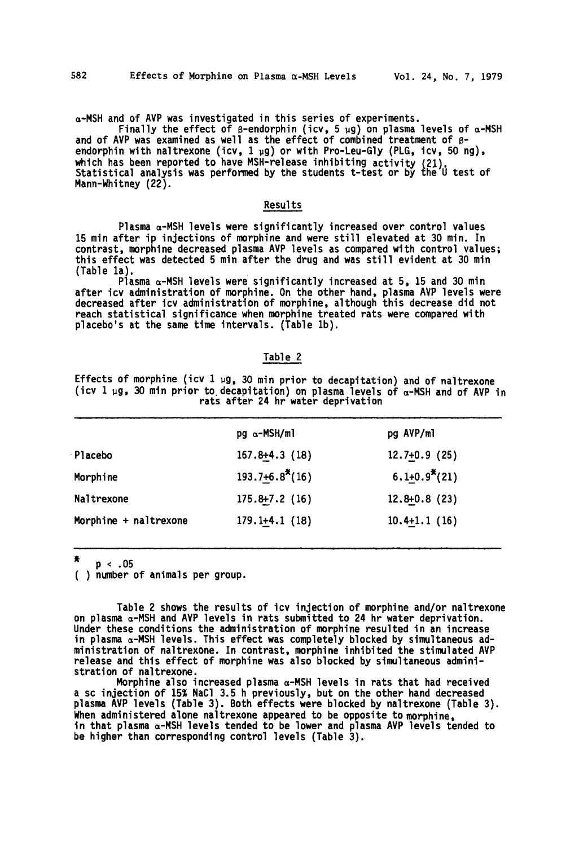a-MSH and of AVP was investigated in this series of experiments .

Finally the effect of  $\beta$ -endorphin (icv, 5 µg) on plasma levels of  $\alpha$ -MSH and of AVP was examined as well as the effect of combined treatment of Bendorphin with naltrexone (icv, 1 µg) or with Pro-Leu-Gly (PLG, icv, 50 ng), which has been reported to have MSH-release inhibiting activity (21) . Statistical analysis was perfornied by the students t-test or by fhe U test of Mann-Whitney (22) .

## Results

Plasma a-MSH levels were significantly increased over control values 15 min after ip injections of morphine and were still elevated at 30 min. In contrast, morphine decreased plasma AVP levels as compared with control values ; this effect was detected 5 min after the drug and was still evident at 30 min (Table la) .

Plasma  $\alpha$ -MSH levels were significantly increased at 5, 15 and 30 min after icv administration of morphine. On the other hand, plasma AVP levels were decreased after icv administration of morphine, although this decrease did not reach statistical significance when morphine treated rats were compared with placebo's at the same time intervals . (Table lb) .

## Table 2

Effects of morphine (icv 1  $\mu$ g, 30 min prior to decapitation) and of naltrexone (icv 1  $\mu$ g, 30 min prior to decapitation) on plasma levels of  $\alpha$ -MSH and of AVP in rats after 24 hr water deprivation

|                       | $pg \alpha - MSH/ml$            | pg AVP/ml           |
|-----------------------|---------------------------------|---------------------|
| Placebo               | $167.8+4.3(18)$                 | $12.7+0.9(25)$      |
| Morphine              | $193.7 + 6.8$ <sup>*</sup> (16) | $6.1 + 0.9^{*}(21)$ |
| Naltrexone            | $175.8 + 7.2$ (16)              | $12.8 + 0.8$ (23)   |
| Morphine + naltrexone | $179.1+4.1(18)$                 | $10.4+1.1(16)$      |

p < .05

( ) number of animals per group .

Table 2 shows the results of icv injection of morphine and/or naltrexone on plasma  $\alpha$ -MSH and AVP levels in rats submitted to 24 hr water deprivation. Under these conditions the administration of morphine resulted in an increase in plasma a-MSH levels . This effect was completely blocked by simultaneous administration of naltrexone . In contrast, morphine inhibited the stimulated AVP release and this effect of morphine was also blocked by simultaneous administration of naltrexone .

Morphine also increased plasma a-MSH levels in rats that had received <sup>a</sup> sc injection of 15% NaCI <sup>3</sup> .5 h previously, but on the other hand decreased plasma AVP levels (Table 3) . Both effects were blocked by naltrexone (Table 3) . When administered alone naltrexone appeared to be opposite to morphine, in that plasma a-MSH levels tended to be lower and plasma AYP levels tended to be higher than corresponding control levels (Table 3) .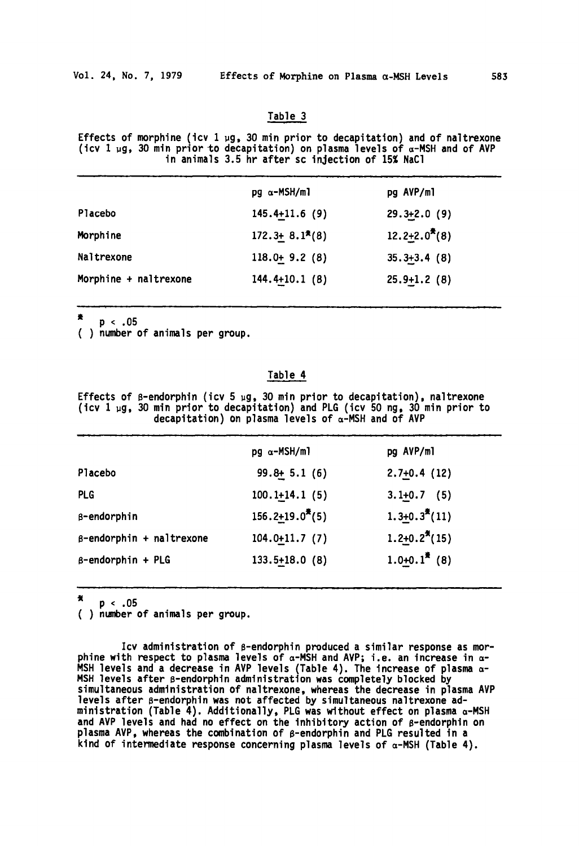## Table <sup>3</sup>

Effects of morphine (icv  $1 \mu$ g, 30 min prior to decapitation) and of naltrexone (icv 1  $\mu$ g, 30 min prior to decapitation) on plasma levels of  $\alpha$ -MSH and of AVP in animals 3.5 hr after sc injection of 15X NaCI

| $pg \alpha - MSH/m1$ | pg AVP/ml           |
|----------------------|---------------------|
| $145.4 + 11.6(9)$    | $29.3 + 2.0(9)$     |
| $172.3 + 8.1*(8)$    | $12.2 + 2.0^{*}(8)$ |
| $118.0 + 9.2(8)$     | $35.3 + 3.4$ (8)    |
| $144.4+10.1(8)$      | $25.9 + 1.2$ (8)    |
|                      |                     |

٠  $p \, < \, .05$ 

( ) number of animals per group .

# Table 4

Effects of  $\beta$ -endorphin (icv 5 µg, 30 min prior to decapitation), naltrexone (icv <sup>1</sup> ug, 30 min prior to decapitation) and PLG (icv 50 ng, 30 min prior to decapitation) on plasma levels of  $\alpha$ -MSH and of AVP

|                                 | $pg \alpha - MSH/m$ ]           | pg AVP/ml                     |
|---------------------------------|---------------------------------|-------------------------------|
| Placebo                         | $99.8 + 5.1(6)$                 | $2.7+0.4(12)$                 |
| <b>PLG</b>                      | $100.1+14.1(5)$                 | $3.1+0.7$ (5)                 |
| B-endorphin                     | $156.2 + 19.0$ <sup>*</sup> (5) | $1.3+0.3^{*}(11)$             |
| $\beta$ -endorphin + naltrexone | $104.0+11.7(7)$                 | $1.2 + 0.2^{\frac{4}{3}}(15)$ |
| $\beta$ -endorphin + PLG        | $133.5+18.0$ (8)                | $1.0+0.1^{*}(8)$              |

赏 p < .05

( ) number of animals per group .

Icv administration of ß-endorphin produced a similar response as morphine with respect to plasma levels of  $\alpha$ -MSH and AVP; i.e. an increase in  $\alpha$ -MSH levels and a decrease in AVP levels (Table 4) . The increase of plasma a-MSH levels after s-endorphin administration was completely blocked by simultaneous administration of naltrexone, whereas the decrease in plasma AVP levels after ß-endorphin was not affected by simultaneous naltrexone administration (Table 4) . Additionally, PLG was without effect on plasma a-MSH and AVP levels and had no effect on the inhibitory action of ß-endorphin on plasma AVP, whereas the combination of g-endorphin and PLG resulted in a kind of intermediate response concerning plasma levels of  $\alpha$ -MSH (Table 4).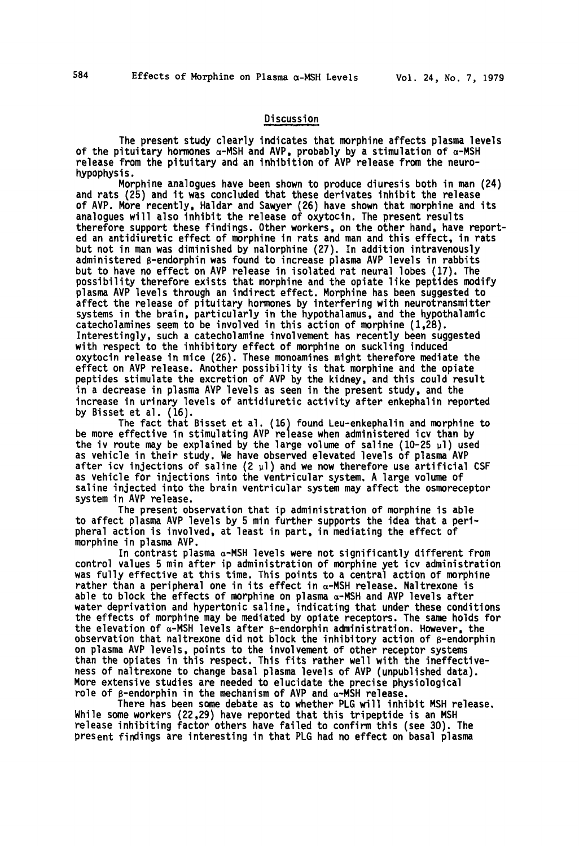## Discussion

The present study clearly indicates that morphine affects plasma levels of the pituitary hormones  $\alpha$ -MSH and AVP, probably by a stimulation of  $\alpha$ -MSH release from the pituitary and an inhibition of AVP release from the neurohypophysis .

Morphine analogues have been shown to produce diuresis both in man (24) and rats (25) and it was concluded that these derivates inhibit the release of AVP. More recently, Haldar and Sawyer (26) have shown that morphine and its analogues will also inhibit the release of oxytocin . The present results therefore support these findings . Other workers, on the other hand, have reported an antidiuretic effect of morphine in rats and man and this effect, in rats but not in man was diminished by nalorphine (27) . In addition intravenously administered B-endorphin was found to increase plasma AVP levels in rabbits but to have no effect on AVP release in isolated rat neural lobes (17) . The possibility therefore exists that morphine and the opiate like peptides modify plasma AVP levels through an indirect effect. Morphine has been suggested to affect the release of pituitary hormones by interfering with neurotransmitter systems in the brain, particularly in the hypothalamus, and the hypothalamic catecholamines seem to be involved in this action of morphine (1,28) . Interestingly, such a catecholamine involvement has recently been suggested with respect to the inhibitory effect of morphine on suckling induced oxytocin release in mice (26) . These monoamines might therefore mediate the effect on AVP release. Another possibility is that morphine and the opiate peptides stimulate the excretion of AVP by the kidney, and this could result in a decrease in plasma AVP levels as seen in the present study, and the increase in urinary levels of antidiuretic activity after enkephalin reported by Bisset et al. (16).

The fact that Bisset et al. (16) found Leu-enkephalin and morphine to be more effective in stimulating AVP release when administered icv than by the iv route may be explained by the large volume of saline (10-25  $\mu$ l) used as vehicle in their study. We have observed elevated levels of plasma AVP after icv injections of saline (2  $\mu$ l) and we now therefore use artificial CSF as vehicle for injections into the ventricular system, A large volume of saline injected into the brain ventricular system may affect the osmoreceptor system in AVP release.

The present observation that ip administration of morphine is able to affect plasma AVP levels by 5 min further supports the idea that a peripheral action is involved, at least in part, in mediating the effect of morphine in plasma AYP .

In contrast plasma  $\alpha$ -MSH levels were not significantly different from control values <sup>5</sup> min after ip administration of morphine yet icv administration was fully effective at this time. This points to a central action of morphine rather than a peripheral one in its effect in  $\alpha$ -MSH release. Naltrexone is able to block the effects of morphine on plasma  $\alpha$ -MSH and AVP levels after water deprivation and hypertonic saline, indicating that under these conditions the effects of morphine may be mediated by opiate receptors . The same holds for the elevation of  $\alpha$ -MSH levels after  $\beta$ -endorphin administration. However, the observation that naltrexone did not block the inhibitory action of ß-endorphin on plasma AVP levels, points to the involvement of other receptor systems than the opiates in this respect. This fits rather well with the ineffectiveness of naltrexone to change basal plasma levels of AVP (unpublished data) . More extensive studies are needed to elucidate the precise physiological role of  $\beta$ -endorphin in the mechanism of AVP and  $\alpha$ -MSH release.

There has been some debate as to whether PLG will inhibit MSH release. While some workers (22,29) have reported that this tripeptide is an MSH release inhibiting factor others have failed to confirm this (see 30) . The present findings are interesting in that PLG had no effect on basal plasma